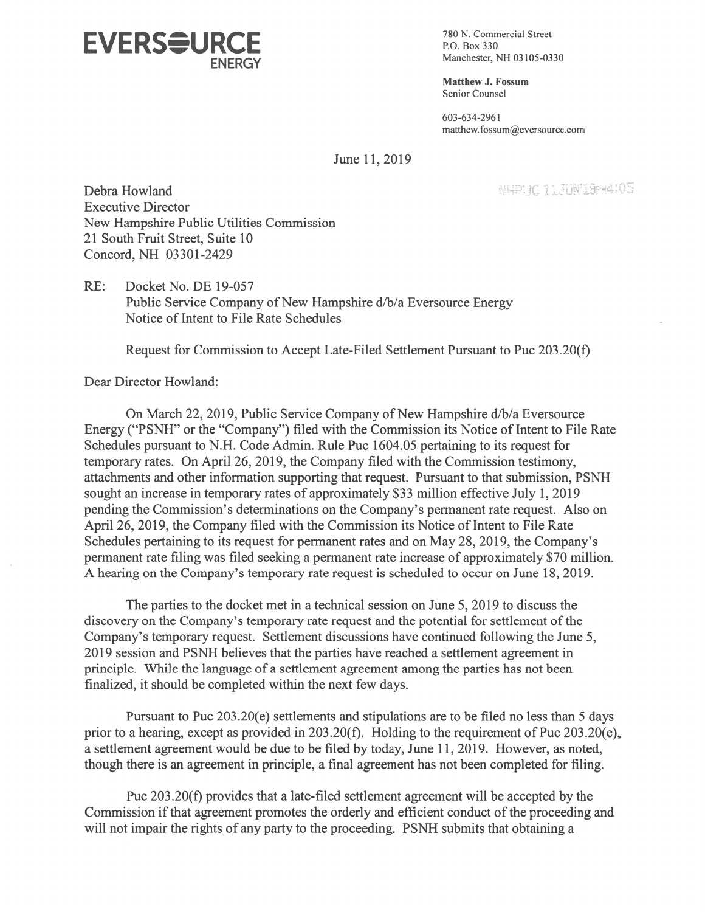

Manchester, NH 03105-0330

Matthew J. Fossum Senior Counsel

603-634-2961 matthew.fossum@eversource.com

June 11, 2019

Debra Howland •.( :. Executive Director New Hampshire Public Utilities Commission 21 South Fruit Street, Suite 10 Concord, NH 03301-2429

RE: Docket No. DE 19-057 Public Service Company of New Hampshire d/b/a Eversource Energy Notice of Intent to File Rate Schedules

Request for Commission to Accept Late-Filed Settlement Pursuant to Puc 203.20(f)

Dear Director Howland:

On March 22, 2019, Public Service Company of New Hampshire d/b/a Eversource Energy ("PSNH" or the "Company") filed with the Commission its Notice of Intent to file Rate Schedules pursuan<sup>t</sup> to N.H. Code Admin. Rule Puc 1 604.05 pertaining to its reques<sup>t</sup> for temporary rates. On April 26, 2019, the Company filed with the Commission testimony, attachments and other information supporting that request. Pursuant to that submission, PSNH sought an increase in temporary rates of approximately \$33 million effective July 1, 2019 pending the Commission's determinations on the Company's permanen<sup>t</sup> rate request. Also on April 26, 2019, the Company filed with the Commission its Notice of Intent to File Rate Schedules pertaining to its request for permanent rates and on May 28, 2019, the Company's permanen<sup>t</sup> rate filing was filed seeking <sup>a</sup> permanen<sup>t</sup> rate increase of approximately \$70 million. A hearing on the Company's temporary rate request is scheduled to occur on June 18, 2019.

The parties to the docket met in a technical session on June 5, 2019 to discuss the discovery on the Company's temporary rate request and the potential for settlement of the Company's temporary request. Settlement discussions have continued following the June 5, 2019 session and PSNH believes that the parties have reached a settlement agreement in principle. While the language of <sup>a</sup> settlement agreemen<sup>t</sup> among the parties has not been finalized, it should be completed within the next few days.

Pursuant to Puc 203 .20(e) settlements and stipulations are to be filed no less than 5 days prior to a hearing, except as provided in  $203.20(f)$ . Holding to the requirement of Puc  $203.20(e)$ , a settlement agreement would be due to be filed by today, June 11, 2019. However, as noted, though there is an agreemen<sup>t</sup> in principle, <sup>a</sup> final agreemen<sup>t</sup> has not been completed for filing.

Puc 203.20(f) provides that <sup>a</sup> late-filed settlement agreemen<sup>t</sup> will be accepted by the Commission if that agreement promotes the orderly and efficient conduct of the proceeding and will not impair the rights of any party to the proceeding. PSNH submits that obtaining <sup>a</sup>